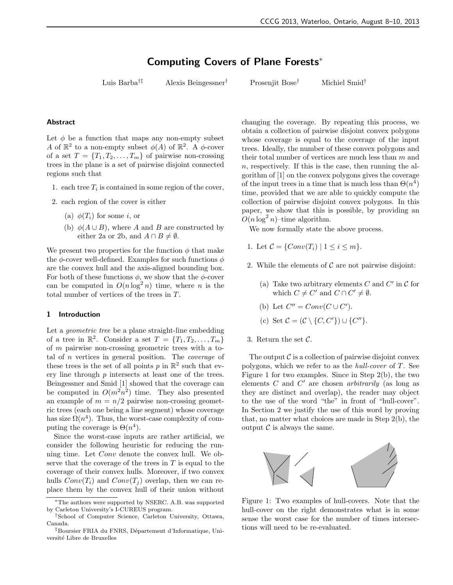# Computing Covers of Plane Forests<sup>∗</sup>

Luis Barba†‡ Alexis Beingessner† Prosenjit Bose† Michiel Smid†

#### Abstract

Let  $\phi$  be a function that maps any non-empty subset A of  $\mathbb{R}^2$  to a non-empty subset  $\phi(A)$  of  $\mathbb{R}^2$ . A  $\phi$ -cover of a set  $T = \{T_1, T_2, \ldots, T_m\}$  of pairwise non-crossing trees in the plane is a set of pairwise disjoint connected regions such that

- 1. each tree  $T_i$  is contained in some region of the cover,
- 2. each region of the cover is either
	- (a)  $\phi(T_i)$  for some i, or
	- (b)  $\phi(A \cup B)$ , where A and B are constructed by either 2a or 2b, and  $A \cap B \neq \emptyset$ .

We present two properties for the function  $\phi$  that make the  $\phi$ -cover well-defined. Examples for such functions  $\phi$ are the convex hull and the axis-aligned bounding box. For both of these functions  $\phi$ , we show that the  $\phi$ -cover can be computed in  $O(n \log^2 n)$  time, where *n* is the total number of vertices of the trees in T.

#### 1 Introduction

Let a geometric tree be a plane straight-line embedding of a tree in  $\mathbb{R}^2$ . Consider a set  $T = \{T_1, T_2, \ldots, T_m\}$ of m pairwise non-crossing geometric trees with a total of  $n$  vertices in general position. The *coverage* of these trees is the set of all points  $p$  in  $\mathbb{R}^2$  such that every line through p intersects at least one of the trees. Beingessner and Smid [1] showed that the coverage can be computed in  $O(m^2n^2)$  time. They also presented an example of  $m = n/2$  pairwise non-crossing geometric trees (each one being a line segment) whose coverage has size  $\Omega(n^4)$ . Thus, the worst-case complexity of computing the coverage is  $\Theta(n^4)$ .

Since the worst-case inputs are rather artificial, we consider the following heuristic for reducing the running time. Let Conv denote the convex hull. We observe that the coverage of the trees in  $T$  is equal to the coverage of their convex hulls. Moreover, if two convex hulls  $Conv(T_i)$  and  $Conv(T_j)$  overlap, then we can replace them by the convex hull of their union without

changing the coverage. By repeating this process, we obtain a collection of pairwise disjoint convex polygons whose coverage is equal to the coverage of the input trees. Ideally, the number of these convex polygons and their total number of vertices are much less than  $m$  and  $n$ , respectively. If this is the case, then running the algorithm of [1] on the convex polygons gives the coverage of the input trees in a time that is much less than  $\Theta(n^4)$ time, provided that we are able to quickly compute the collection of pairwise disjoint convex polygons. In this paper, we show that this is possible, by providing an  $O(n \log^2 n)$ -time algorithm.

We now formally state the above process.

- 1. Let  $C = \{Conv(T_i) | 1 \le i \le m\}.$
- 2. While the elements of  $\mathcal C$  are not pairwise disjoint:
	- (a) Take two arbitrary elements  $C$  and  $C'$  in  $\mathcal C$  for which  $C \neq C'$  and  $C \cap C' \neq \emptyset$ .
	- (b) Let  $C'' = Conv(C \cup C')$ .
	- (c) Set  $\mathcal{C} = (\mathcal{C} \setminus \{C, C'\}) \cup \{C''\}.$
- 3. Return the set  $C$ .

The output  $\mathcal C$  is a collection of pairwise disjoint convex polygons, which we refer to as the hull-cover of T. See Figure 1 for two examples. Since in Step 2(b), the two elements  $C$  and  $C'$  are chosen *arbitrarily* (as long as they are distinct and overlap), the reader may object to the use of the word "the" in front of "hull-cover". In Section 2 we justify the use of this word by proving that, no matter what choices are made in Step 2(b), the output  $\mathcal C$  is always the same.



Figure 1: Two examples of hull-covers. Note that the hull-cover on the right demonstrates what is in some sense the worst case for the number of times intersections will need to be re-evaluated.

<sup>∗</sup>The authors were supported by NSERC. A.B. was supported by Carleton University's I-CUREUS program.

<sup>†</sup>School of Computer Science, Carleton University, Ottawa, Canada.

<sup>&</sup>lt;sup>‡</sup>Boursier FRIA du FNRS, Département d'Informatique, Université Libre de Bruxelles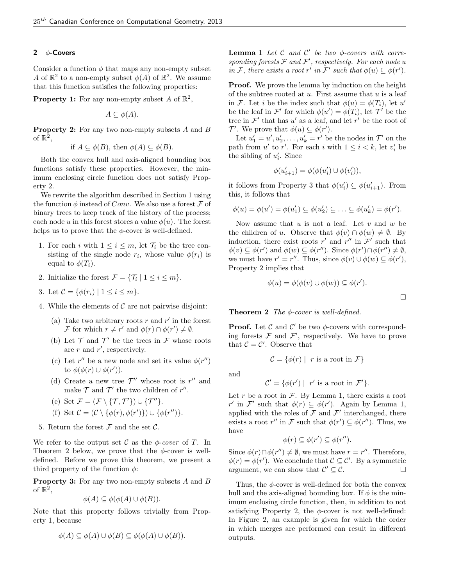# 2  $\phi$ -Covers

Consider a function  $\phi$  that maps any non-empty subset A of  $\mathbb{R}^2$  to a non-empty subset  $\phi(A)$  of  $\mathbb{R}^2$ . We assume that this function satisfies the following properties:

**Property 1:** For any non-empty subset A of  $\mathbb{R}^2$ ,

$$
A \subseteq \phi(A).
$$

Property 2: For any two non-empty subsets A and B of  $\mathbb{R}^2$ ,

if 
$$
A \subseteq \phi(B)
$$
, then  $\phi(A) \subseteq \phi(B)$ .

Both the convex hull and axis-aligned bounding box functions satisfy these properties. However, the minimum enclosing circle function does not satisfy Property 2.

We rewrite the algorithm described in Section 1 using the function  $\phi$  instead of Conv. We also use a forest F of binary trees to keep track of the history of the process; each node u in this forest stores a value  $\phi(u)$ . The forest helps us to prove that the  $\phi$ -cover is well-defined.

- 1. For each i with  $1 \leq i \leq m$ , let  $\mathcal{T}_i$  be the tree consisting of the single node  $r_i$ , whose value  $\phi(r_i)$  is equal to  $\phi(T_i)$ .
- 2. Initialize the forest  $\mathcal{F} = {\mathcal{T}_i \mid 1 \leq i \leq m}.$
- 3. Let  $C = \{ \phi(r_i) \mid 1 \leq i \leq m \}.$
- 4. While the elements of  $\mathcal C$  are not pairwise disjoint:
	- (a) Take two arbitrary roots  $r$  and  $r'$  in the forest F for which  $r \neq r'$  and  $\phi(r) \cap \phi(r') \neq \emptyset$ .
	- (b) Let  $\mathcal T$  and  $\mathcal T'$  be the trees in  $\mathcal F$  whose roots are  $r$  and  $r'$ , respectively.
	- (c) Let  $r''$  be a new node and set its value  $\phi(r'')$ to  $\phi(\phi(r) \cup \phi(r'))$ .
	- (d) Create a new tree  $\mathcal{T}''$  whose root is  $r''$  and make  $\mathcal T$  and  $\mathcal T'$  the two children of r''.

(e) Set 
$$
\mathcal{F} = (\mathcal{F} \setminus \{ \mathcal{T}, \mathcal{T}' \}) \cup \{ \mathcal{T}'' \}.
$$

- (f) Set  $\mathcal{C} = (\mathcal{C} \setminus \{\phi(r), \phi(r')\}) \cup \{\phi(r'')\}.$
- 5. Return the forest  $\mathcal F$  and the set  $\mathcal C$ .

We refer to the output set C as the  $\phi$ -cover of T. In Theorem 2 below, we prove that the  $\phi$ -cover is welldefined. Before we prove this theorem, we present a third property of the function  $\phi$ :

**Property 3:** For any two non-empty subsets  $A$  and  $B$ of  $\mathbb{R}^2$ ,

$$
\phi(A) \subseteq \phi(\phi(A) \cup \phi(B)).
$$

Note that this property follows trivially from Property 1, because

$$
\phi(A) \subseteq \phi(A) \cup \phi(B) \subseteq \phi(\phi(A) \cup \phi(B)).
$$

**Lemma 1** Let  $C$  and  $C'$  be two  $\phi$ -covers with corresponding forests  $F$  and  $F'$ , respectively. For each node u in F, there exists a root r' in F' such that  $\phi(u) \subseteq \phi(r')$ .

**Proof.** We prove the lemma by induction on the height of the subtree rooted at  $u$ . First assume that  $u$  is a leaf in F. Let *i* be the index such that  $\phi(u) = \phi(T_i)$ , let u' be the leaf in  $\mathcal{F}'$  for which  $\phi(u') = \phi(T_i)$ , let  $\mathcal{T}'$  be the tree in  $\mathcal{F}'$  that has u' as a leaf, and let r' be the root of  $\mathcal{T}'$ . We prove that  $\phi(u) \subseteq \phi(r')$ .

Let  $u'_1 = u', u'_2, \dots, u'_k = r'$  be the nodes in  $\mathcal{T}'$  on the path from  $u'$  to  $r'$ . For each i with  $1 \leq i < k$ , let  $v'_i$  be the sibling of  $u'_i$ . Since

$$
\phi(u_{i+1}') = \phi(\phi(u_i') \cup \phi(v_i')),
$$

it follows from Property 3 that  $\phi(u'_i) \subseteq \phi(u'_{i+1})$ . From this, it follows that

$$
\phi(u) = \phi(u') = \phi(u'_1) \subseteq \phi(u'_2) \subseteq \ldots \subseteq \phi(u'_k) = \phi(r').
$$

Now assume that  $u$  is not a leaf. Let  $v$  and  $w$  be the children of u. Observe that  $\phi(v) \cap \phi(w) \neq \emptyset$ . By induction, there exist roots  $r'$  and  $r''$  in  $\mathcal{F}'$  such that  $\phi(v) \subseteq \phi(r')$  and  $\phi(w) \subseteq \phi(r'')$ . Since  $\phi(r') \cap \phi(r'') \neq \emptyset$ , we must have  $r' = r''$ . Thus, since  $\phi(v) \cup \phi(w) \subseteq \phi(r')$ , Property 2 implies that

$$
\phi(u) = \phi(\phi(v) \cup \phi(w)) \subseteq \phi(r').
$$

 $\Box$ 

**Theorem 2** The  $\phi$ -cover is well-defined.

**Proof.** Let  $\mathcal C$  and  $\mathcal C'$  be two  $\phi$ -covers with corresponding forests  $\mathcal F$  and  $\mathcal F'$ , respectively. We have to prove that  $C = C'$ . Observe that

$$
\mathcal{C} = \{ \phi(r) \mid r \text{ is a root in } \mathcal{F} \}
$$

and

$$
\mathcal{C}' = \{ \phi(r') \mid r' \text{ is a root in } \mathcal{F}' \}.
$$

Let r be a root in  $\mathcal F$ . By Lemma 1, there exists a root r' in F' such that  $\phi(r) \subseteq \phi(r')$ . Again by Lemma 1, applied with the roles of  $\mathcal F$  and  $\mathcal F'$  interchanged, there exists a root r'' in F such that  $\phi(r') \subseteq \phi(r'')$ . Thus, we have

$$
\phi(r) \subseteq \phi(r') \subseteq \phi(r'').
$$

Since  $\phi(r) \cap \phi(r'') \neq \emptyset$ , we must have  $r = r''$ . Therefore,  $\phi(r) = \phi(r')$ . We conclude that  $\mathcal{C} \subseteq \mathcal{C}'$ . By a symmetric argument, we can show that  $\mathcal{C}' \subseteq \mathcal{C}$ .

Thus, the  $\phi$ -cover is well-defined for both the convex hull and the axis-aligned bounding box. If  $\phi$  is the minimum enclosing circle function, then, in addition to not satisfying Property 2, the  $\phi$ -cover is not well-defined: In Figure 2, an example is given for which the order in which merges are performed can result in different outputs.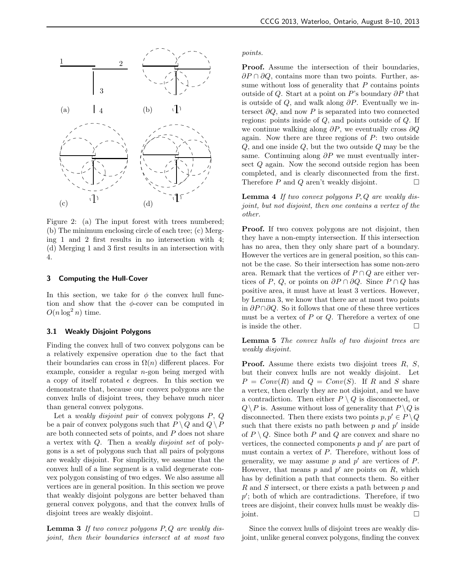

Figure 2: (a) The input forest with trees numbered; (b) The minimum enclosing circle of each tree; (c) Merging 1 and 2 first results in no intersection with 4; (d) Merging 1 and 3 first results in an intersection with 4.

## 3 Computing the Hull-Cover

In this section, we take for  $\phi$  the convex hull function and show that the  $\phi$ -cover can be computed in  $O(n \log^2 n)$  time.

## 3.1 Weakly Disjoint Polygons

Finding the convex hull of two convex polygons can be a relatively expensive operation due to the fact that their boundaries can cross in  $\Omega(n)$  different places. For example, consider a regular  $n$ -gon being merged with a copy of itself rotated  $\epsilon$  degrees. In this section we demonstrate that, because our convex polygons are the convex hulls of disjoint trees, they behave much nicer than general convex polygons.

Let a *weakly disjoint pair* of convex polygons  $P$ ,  $Q$ be a pair of convex polygons such that  $P \setminus Q$  and  $Q \setminus P$ are both connected sets of points, and P does not share a vertex with Q. Then a weakly disjoint set of polygons is a set of polygons such that all pairs of polygons are weakly disjoint. For simplicity, we assume that the convex hull of a line segment is a valid degenerate convex polygon consisting of two edges. We also assume all vertices are in general position. In this section we prove that weakly disjoint polygons are better behaved than general convex polygons, and that the convex hulls of disjoint trees are weakly disjoint.

**Lemma 3** If two convex polygons  $P, Q$  are weakly disjoint, then their boundaries intersect at at most two points.

Proof. Assume the intersection of their boundaries,  $\partial P \cap \partial Q$ , contains more than two points. Further, assume without loss of generality that  $P$  contains points outside of Q. Start at a point on P's boundary  $\partial P$  that is outside of Q, and walk along  $\partial P$ . Eventually we intersect  $\partial Q$ , and now P is separated into two connected regions: points inside of Q, and points outside of Q. If we continue walking along  $\partial P$ , we eventually cross  $\partial Q$ again. Now there are three regions of  $P$ : two outside  $Q$ , and one inside  $Q$ , but the two outside  $Q$  may be the same. Continuing along  $\partial P$  we must eventually intersect Q again. Now the second outside region has been completed, and is clearly disconnected from the first. Therefore  $P$  and  $Q$  aren't weakly disjoint.  $\Box$ 

Lemma 4 If two convex polygons P, Q are weakly disjoint, but not disjoint, then one contains a vertex of the other.

Proof. If two convex polygons are not disjoint, then they have a non-empty intersection. If this intersection has no area, then they only share part of a boundary. However the vertices are in general position, so this cannot be the case. So their intersection has some non-zero area. Remark that the vertices of  $P \cap Q$  are either vertices of P, Q, or points on  $\partial P \cap \partial Q$ . Since  $P \cap Q$  has positive area, it must have at least 3 vertices. However, by Lemma 3, we know that there are at most two points in  $\partial P \cap \partial Q$ . So it follows that one of these three vertices must be a vertex of  $P$  or  $Q$ . Therefore a vertex of one is inside the other.  $\Box$ 

Lemma 5 The convex hulls of two disjoint trees are weakly disjoint.

**Proof.** Assume there exists two disjoint trees  $R$ ,  $S$ , but their convex hulls are not weakly disjoint. Let  $P = Conv(R)$  and  $Q = Conv(S)$ . If R and S share a vertex, then clearly they are not disjoint, and we have a contradiction. Then either  $P \setminus Q$  is disconnected, or  $Q \setminus P$  is. Assume without loss of generality that  $P \setminus Q$  is disconnected. Then there exists two points  $p, p' \in P \setminus Q$ such that there exists no path between  $p$  and  $p'$  inside of  $P \setminus Q$ . Since both P and Q are convex and share no vertices, the connected components  $p$  and  $p'$  are part of must contain a vertex of P. Therefore, without loss of generality, we may assume  $p$  and  $p'$  are vertices of  $P$ . However, that means  $p$  and  $p'$  are points on  $R$ , which has by definition a path that connects them. So either  $R$  and  $S$  intersect, or there exists a path between  $p$  and  $p'$ ; both of which are contradictions. Therefore, if two trees are disjoint, their convex hulls must be weakly disjoint.

Since the convex hulls of disjoint trees are weakly disjoint, unlike general convex polygons, finding the convex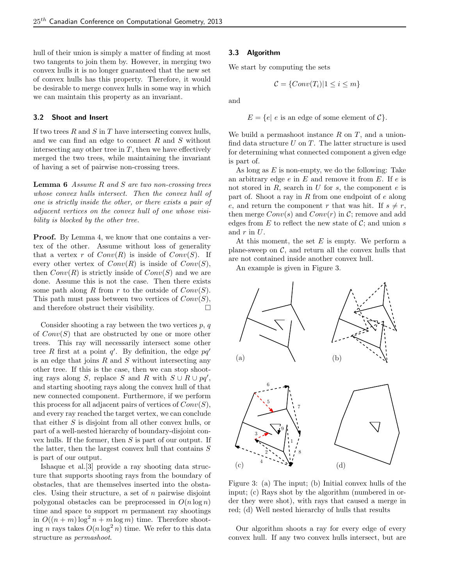hull of their union is simply a matter of finding at most two tangents to join them by. However, in merging two convex hulls it is no longer guaranteed that the new set of convex hulls has this property. Therefore, it would be desirable to merge convex hulls in some way in which we can maintain this property as an invariant.

# 3.2 Shoot and Insert

If two trees  $R$  and  $S$  in  $T$  have intersecting convex hulls, and we can find an edge to connect R and S without intersecting any other tree in  $T$ , then we have effectively merged the two trees, while maintaining the invariant of having a set of pairwise non-crossing trees.

**Lemma 6** Assume R and S are two non-crossing trees whose convex hulls intersect. Then the convex hull of one is strictly inside the other, or there exists a pair of adjacent vertices on the convex hull of one whose visibility is blocked by the other tree.

**Proof.** By Lemma 4, we know that one contains a vertex of the other. Assume without loss of generality that a vertex r of  $Conv(R)$  is inside of  $Conv(S)$ . If every other vertex of  $Conv(R)$  is inside of  $Conv(S)$ , then  $Conv(R)$  is strictly inside of  $Conv(S)$  and we are done. Assume this is not the case. Then there exists some path along R from r to the outside of  $Conv(S)$ . This path must pass between two vertices of  $Conv(S)$ , and therefore obstruct their visibility.  $\Box$ 

Consider shooting a ray between the two vertices  $p, q$ of  $Conv(S)$  that are obstructed by one or more other trees. This ray will necessarily intersect some other tree R first at a point  $q'$ . By definition, the edge  $pq'$ is an edge that joins  $R$  and  $S$  without intersecting any other tree. If this is the case, then we can stop shooting rays along S, replace S and R with  $S \cup R \cup pq'$ , and starting shooting rays along the convex hull of that new connected component. Furthermore, if we perform this process for all adjacent pairs of vertices of  $Conv(S)$ , and every ray reached the target vertex, we can conclude that either S is disjoint from all other convex hulls, or part of a well-nested hierarchy of boundary-disjoint convex hulls. If the former, then S is part of our output. If the latter, then the largest convex hull that contains  $S$ is part of our output.

Ishaque et al.[3] provide a ray shooting data structure that supports shooting rays from the boundary of obstacles, that are themselves inserted into the obstacles. Using their structure, a set of  $n$  pairwise disjoint polygonal obstacles can be preprocessed in  $O(n \log n)$ time and space to support  $m$  permanent ray shootings in  $O((n+m)\log^2 n + m\log m)$  time. Therefore shooting *n* rays takes  $O(n \log^2 n)$  time. We refer to this data structure as permashoot.

## 3.3 Algorithm

We start by computing the sets

$$
\mathcal{C} = \{Conv(T_i)|1 \le i \le m\}
$$

and

$$
E = \{e \mid e \text{ is an edge of some element of } C\}.
$$

We build a permashoot instance  $R$  on  $T$ , and a unionfind data structure  $U$  on  $T$ . The latter structure is used for determining what connected component a given edge is part of.

As long as  $E$  is non-empty, we do the following: Take an arbitrary edge  $e$  in  $E$  and remove it from  $E$ . If  $e$  is not stored in  $R$ , search in  $U$  for  $s$ , the component  $e$  is part of. Shoot a ray in R from one endpoint of  $e$  along e, and return the component r that was hit. If  $s \neq r$ , then merge  $Conv(s)$  and  $Conv(r)$  in C; remove and add edges from  $E$  to reflect the new state of  $C$ ; and union  $s$ and  $r$  in  $U$ .

At this moment, the set  $E$  is empty. We perform a plane-sweep on  $C$ , and return all the convex hulls that are not contained inside another convex hull.

An example is given in Figure 3.



Figure 3: (a) The input; (b) Initial convex hulls of the input; (c) Rays shot by the algorithm (numbered in order they were shot), with rays that caused a merge in red; (d) Well nested hierarchy of hulls that results

Our algorithm shoots a ray for every edge of every convex hull. If any two convex hulls intersect, but are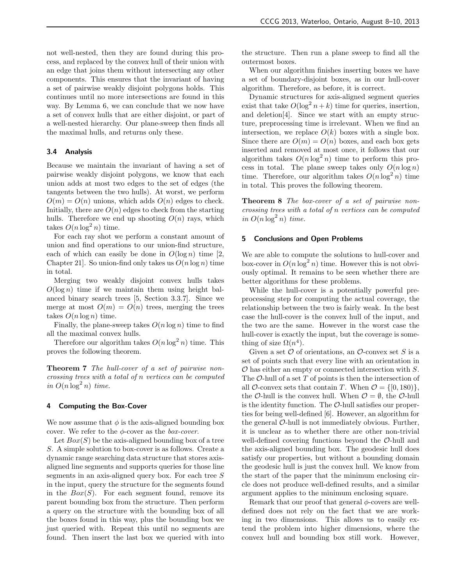not well-nested, then they are found during this process, and replaced by the convex hull of their union with an edge that joins them without intersecting any other components. This ensures that the invariant of having a set of pairwise weakly disjoint polygons holds. This continues until no more intersections are found in this way. By Lemma 6, we can conclude that we now have a set of convex hulls that are either disjoint, or part of a well-nested hierarchy. Our plane-sweep then finds all the maximal hulls, and returns only these.

#### 3.4 Analysis

Because we maintain the invariant of having a set of pairwise weakly disjoint polygons, we know that each union adds at most two edges to the set of edges (the tangents between the two hulls). At worst, we perform  $O(m) = O(n)$  unions, which adds  $O(n)$  edges to check. Initially, there are  $O(n)$  edges to check from the starting hulls. Therefore we end up shooting  $O(n)$  rays, which takes  $O(n \log^2 n)$  time.

For each ray shot we perform a constant amount of union and find operations to our union-find structure, each of which can easily be done in  $O(\log n)$  time [2, Chapter 21. So union-find only takes us  $O(n \log n)$  time in total.

Merging two weakly disjoint convex hulls takes  $O(\log n)$  time if we maintain them using height balanced binary search trees [5, Section 3.3.7]. Since we merge at most  $O(m) = O(n)$  trees, merging the trees takes  $O(n \log n)$  time.

Finally, the plane-sweep takes  $O(n \log n)$  time to find all the maximal convex hulls.

Therefore our algorithm takes  $O(n \log^2 n)$  time. This proves the following theorem.

Theorem 7 The hull-cover of a set of pairwise noncrossing trees with a total of n vertices can be computed in  $O(n \log^2 n)$  time.

## 4 Computing the Box-Cover

We now assume that  $\phi$  is the axis-aligned bounding box cover. We refer to the  $\phi$ -cover as the *box-cover*.

Let  $Box(S)$  be the axis-aligned bounding box of a tree S. A simple solution to box-cover is as follows. Create a dynamic range searching data structure that stores axisaligned line segments and supports queries for those line segments in an axis-aligned query box. For each tree S in the input, query the structure for the segments found in the  $Box(S)$ . For each segment found, remove its parent bounding box from the structure. Then perform a query on the structure with the bounding box of all the boxes found in this way, plus the bounding box we just queried with. Repeat this until no segments are found. Then insert the last box we queried with into the structure. Then run a plane sweep to find all the outermost boxes.

When our algorithm finishes inserting boxes we have a set of boundary-disjoint boxes, as in our hull-cover algorithm. Therefore, as before, it is correct.

Dynamic structures for axis-aligned segment queries exist that take  $O(\log^2 n + k)$  time for queries, insertion, and deletion[4]. Since we start with an empty structure, preprocessing time is irrelevant. When we find an intersection, we replace  $O(k)$  boxes with a single box. Since there are  $O(m) = O(n)$  boxes, and each box gets inserted and removed at most once, it follows that our algorithm takes  $O(n \log^2 n)$  time to perform this process in total. The plane sweep takes only  $O(n \log n)$ time. Therefore, our algorithm takes  $O(n \log^2 n)$  time in total. This proves the following theorem.

Theorem 8 The box-cover of a set of pairwise noncrossing trees with a total of n vertices can be computed in  $O(n \log^2 n)$  time.

#### 5 Conclusions and Open Problems

We are able to compute the solutions to hull-cover and box-cover in  $O(n \log^2 n)$  time. However this is not obviously optimal. It remains to be seen whether there are better algorithms for these problems.

While the hull-cover is a potentially powerful preprocessing step for computing the actual coverage, the relationship between the two is fairly weak. In the best case the hull-cover is the convex hull of the input, and the two are the same. However in the worst case the hull-cover is exactly the input, but the coverage is something of size  $\Omega(n^4)$ .

Given a set  $\mathcal O$  of orientations, an  $\mathcal O$ -convex set S is a set of points such that every line with an orientation in  $\mathcal O$  has either an empty or connected intersection with  $S$ . The  $\mathcal{O}\text{-}\text{hull}$  of a set T of points is then the intersection of all O-convex sets that contain T. When  $\mathcal{O} = \{ [0, 180) \},\$ the O-hull is the convex hull. When  $\mathcal{O} = \emptyset$ , the O-hull is the identity function. The  $\mathcal{O}\text{-}\text{hull}$  satisfies our properties for being well-defined [6]. However, an algorithm for the general  $\mathcal{O}\text{-}\text{hull}$  is not immediately obvious. Further, it is unclear as to whether there are other non-trivial well-defined covering functions beyond the O-hull and the axis-aligned bounding box. The geodesic hull does satisfy our properties, but without a bounding domain the geodesic hull is just the convex hull. We know from the start of the paper that the minimum enclosing circle does not produce well-defined results, and a similar argument applies to the minimum enclosing square.

Remark that our proof that general  $\phi$ -covers are welldefined does not rely on the fact that we are working in two dimensions. This allows us to easily extend the problem into higher dimensions, where the convex hull and bounding box still work. However,